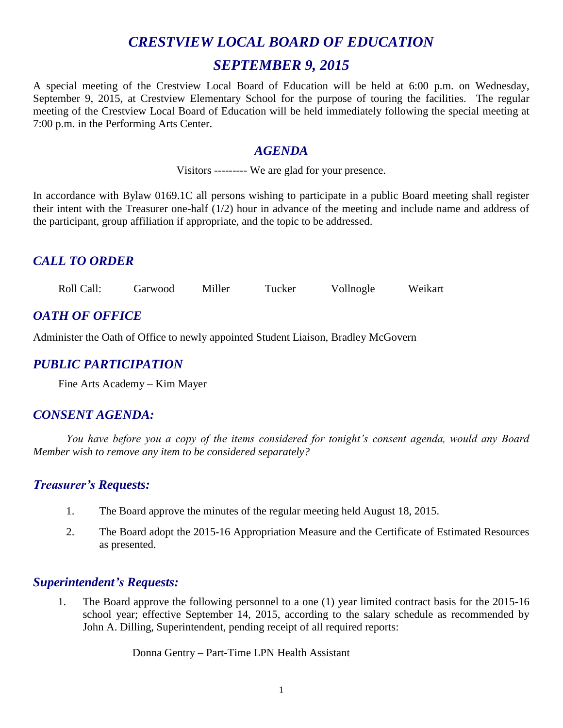# *CRESTVIEW LOCAL BOARD OF EDUCATION SEPTEMBER 9, 2015*

A special meeting of the Crestview Local Board of Education will be held at 6:00 p.m. on Wednesday, September 9, 2015, at Crestview Elementary School for the purpose of touring the facilities. The regular meeting of the Crestview Local Board of Education will be held immediately following the special meeting at 7:00 p.m. in the Performing Arts Center.

## *AGENDA*

Visitors --------- We are glad for your presence.

In accordance with Bylaw 0169.1C all persons wishing to participate in a public Board meeting shall register their intent with the Treasurer one-half (1/2) hour in advance of the meeting and include name and address of the participant, group affiliation if appropriate, and the topic to be addressed.

# *CALL TO ORDER*

Roll Call: Garwood Miller Tucker Vollnogle Weikart

# *OATH OF OFFICE*

Administer the Oath of Office to newly appointed Student Liaison, Bradley McGovern

# *PUBLIC PARTICIPATION*

Fine Arts Academy – Kim Mayer

## *CONSENT AGENDA:*

*You have before you a copy of the items considered for tonight's consent agenda, would any Board Member wish to remove any item to be considered separately?*

## *Treasurer's Requests:*

- 1. The Board approve the minutes of the regular meeting held August 18, 2015.
- 2. The Board adopt the 2015-16 Appropriation Measure and the Certificate of Estimated Resources as presented.

## *Superintendent's Requests:*

1. The Board approve the following personnel to a one (1) year limited contract basis for the 2015-16 school year; effective September 14, 2015, according to the salary schedule as recommended by John A. Dilling, Superintendent, pending receipt of all required reports:

Donna Gentry – Part-Time LPN Health Assistant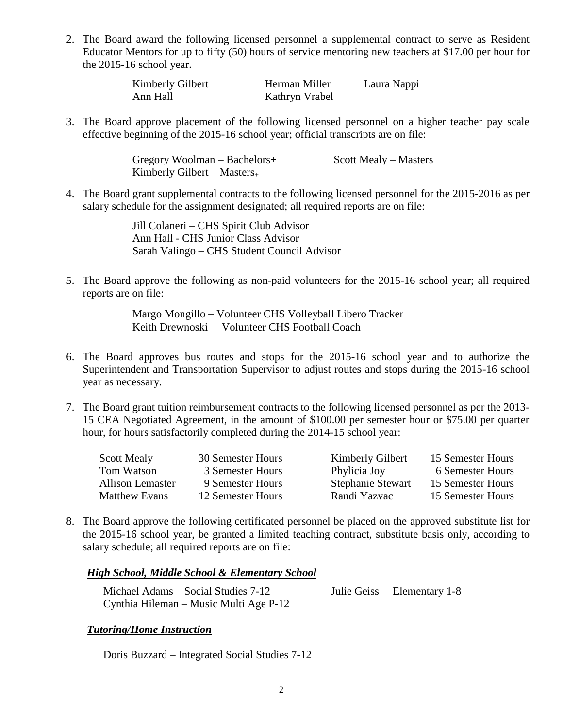2. The Board award the following licensed personnel a supplemental contract to serve as Resident Educator Mentors for up to fifty (50) hours of service mentoring new teachers at \$17.00 per hour for the 2015-16 school year.

| Kimberly Gilbert | Herman Miller  | Laura Nappi |
|------------------|----------------|-------------|
| Ann Hall         | Kathryn Vrabel |             |

3. The Board approve placement of the following licensed personnel on a higher teacher pay scale effective beginning of the 2015-16 school year; official transcripts are on file:

> Gregory Woolman – Bachelors+ Scott Mealy – Masters Kimberly Gilbert – Masters $_{+}$

4. The Board grant supplemental contracts to the following licensed personnel for the 2015-2016 as per salary schedule for the assignment designated; all required reports are on file:

> Jill Colaneri – CHS Spirit Club Advisor Ann Hall - CHS Junior Class Advisor Sarah Valingo – CHS Student Council Advisor

5. The Board approve the following as non-paid volunteers for the 2015-16 school year; all required reports are on file:

> Margo Mongillo – Volunteer CHS Volleyball Libero Tracker Keith Drewnoski – Volunteer CHS Football Coach

- 6. The Board approves bus routes and stops for the 2015-16 school year and to authorize the Superintendent and Transportation Supervisor to adjust routes and stops during the 2015-16 school year as necessary.
- 7. The Board grant tuition reimbursement contracts to the following licensed personnel as per the 2013- 15 CEA Negotiated Agreement, in the amount of \$100.00 per semester hour or \$75.00 per quarter hour, for hours satisfactorily completed during the 2014-15 school year:

| <b>Scott Mealy</b>      | 30 Semester Hours | Kimberly Gilbert         | 15 Semester Hours |
|-------------------------|-------------------|--------------------------|-------------------|
| Tom Watson              | 3 Semester Hours  | Phylicia Joy             | 6 Semester Hours  |
| <b>Allison Lemaster</b> | 9 Semester Hours  | <b>Stephanie Stewart</b> | 15 Semester Hours |
| <b>Matthew Evans</b>    | 12 Semester Hours | Randi Yazvac             | 15 Semester Hours |

8. The Board approve the following certificated personnel be placed on the approved substitute list for the 2015-16 school year, be granted a limited teaching contract, substitute basis only, according to salary schedule; all required reports are on file:

#### *High School, Middle School & Elementary School*

| Michael Adams – Social Studies 7-12    | Julie Geiss $-$ Elementary 1-8 |
|----------------------------------------|--------------------------------|
| Cynthia Hileman – Music Multi Age P-12 |                                |

#### *Tutoring/Home Instruction*

Doris Buzzard – Integrated Social Studies 7-12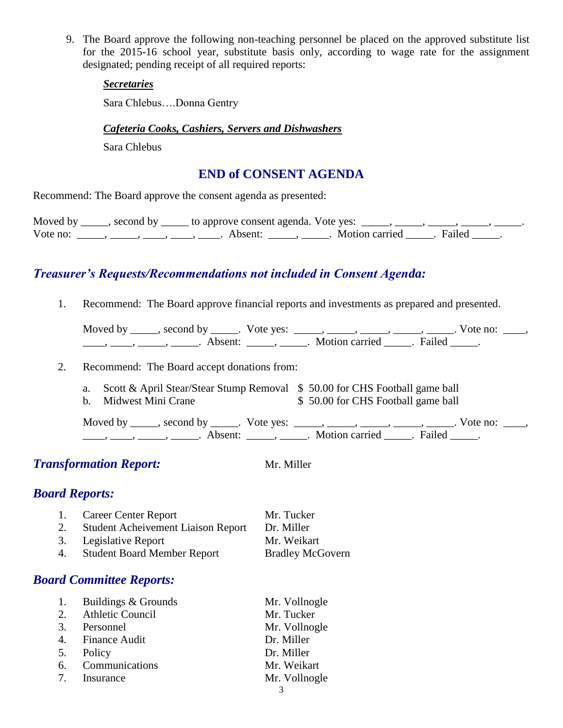9. The Board approve the following non-teaching personnel be placed on the approved substitute list for the 2015-16 school year, substitute basis only, according to wage rate for the assignment designated; pending receipt of all required reports:

#### *Secretaries*

Sara Chlebus….Donna Gentry

#### *Cafeteria Cooks, Cashiers, Servers and Dishwashers*

Sara Chlebus

### **END of CONSENT AGENDA**

Recommend: The Board approve the consent agenda as presented:

|          | Moved by _____, second by _____ to approve consent agenda. Vote yes: _____, _____, _____, _____, |                           |  |
|----------|--------------------------------------------------------------------------------------------------|---------------------------|--|
| Vote no: | Absent:                                                                                          | . Motion carried . Failed |  |

# *Treasurer's Requests/Recommendations not included in Consent Agenda:*

1. Recommend: The Board approve financial reports and investments as prepared and presented.

Moved by \_\_\_\_\_, second by \_\_\_\_\_. Vote yes:  $\_\_\_\_\_\_\_\_\_\_\_\_\_\_\_$  \_\_\_\_\_, \_\_\_\_\_, \_\_\_\_\_. Vote no:  $\_\_\_\_\_\_\$ \_\_\_\_\_, \_\_\_\_\_\_, \_\_\_\_\_\_\_. Absent: \_\_\_\_\_\_, \_\_\_\_\_\_. Motion carried \_\_\_\_\_\_. Failed \_\_\_\_\_.

- 2. Recommend: The Board accept donations from:
	- a. Scott & April Stear/Stear Stump Removal \$ 50.00 for CHS Football game ball
	- b. Midwest Mini Crane  $$50.00$  for CHS Football game ball

Moved by \_\_\_\_\_, second by \_\_\_\_\_. Vote yes: \_\_\_\_\_, \_\_\_\_\_, \_\_\_\_\_, \_\_\_\_\_, \_\_\_\_\_. Vote no: \_\_\_\_,  $\frac{1}{\sqrt{2\pi}}$ ,  $\frac{1}{\sqrt{2\pi}}$ ,  $\frac{1}{\sqrt{2\pi}}$ ,  $\frac{1}{\sqrt{2\pi}}$ ,  $\frac{1}{\sqrt{2\pi}}$ ,  $\frac{1}{\sqrt{2\pi}}$ ,  $\frac{1}{\sqrt{2\pi}}$ ,  $\frac{1}{\sqrt{2\pi}}$ ,  $\frac{1}{\sqrt{2\pi}}$ ,  $\frac{1}{\sqrt{2\pi}}$ 

# **Transformation Report:** Mr. Miller

# *Board Reports:*

|    | 1. Career Center Report                   | Mr. Tucker              |
|----|-------------------------------------------|-------------------------|
| 2. | <b>Student Acheivement Liaison Report</b> | Dr. Miller              |
|    | 3. Legislative Report                     | Mr. Weikart             |
| 4. | <b>Student Board Member Report</b>        | <b>Bradley McGovern</b> |

# *Board Committee Reports:*

|    | 1. Buildings & Grounds | Mr. Vollnogle |
|----|------------------------|---------------|
|    | 2. Athletic Council    | Mr. Tucker    |
|    | 3. Personnel           | Mr. Vollnogle |
|    | 4. Finance Audit       | Dr. Miller    |
|    | 5. Policy              | Dr. Miller    |
|    | 6. Communications      | Mr. Weikart   |
| 7. | Insurance              | Mr. Vollnogle |
|    |                        |               |